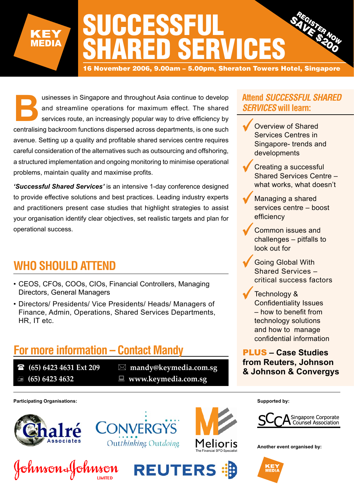

16 November 2006, 9.00am – 5.00pm, Sheraton Towers Hotel, Singapore

usinesses in Singapore and throughout Asia continue to develop<br>and streamline operations for maximum effect. The shared<br>services route, an increasingly popular way to drive efficiency by<br>centralising backroom functions dis and streamline operations for maximum effect. The shared services route, an increasingly popular way to drive efficiency by centralising backroom functions dispersed across departments, is one such avenue. Setting up a quality and profitable shared services centre requires careful consideration of the alternatives such as outsourcing and offshoring, a structured implementation and ongoing monitoring to minimise operational problems, maintain quality and maximise profits.

*'Successful Shared Services'* is an intensive 1-day conference designed to provide effective solutions and best practices. Leading industry experts and practitioners present case studies that highlight strategies to assist your organisation identify clear objectives, set realistic targets and plan for operational success.

# **WHO SHOULD ATTEND**

- CEOS, CFOs, COOs, CIOs, Financial Controllers, Managing Directors, General Managers
- Directors/ Presidents/ Vice Presidents/ Heads/ Managers of Finance, Admin, Operations, Shared Services Departments, HR, IT etc.

# **For more information – Contact Mandy**

- 
- 
- **(65) 6423 4631 Ext 209 mandy@keymedia.com.sg (65) 6423 4632 www.keymedia.com.sg**

**Participating Organisations:**



Johnson&Johnson







# **Attend** *SUCCESSFUL SHARED SERVICES* **will learn:**

- Overview of Shared Services Centres in Singapore- trends and developments
- Creating a successful Shared Services Centre – what works, what doesn't
- Managing a shared services centre – boost efficiency
- Common issues and challenges – pitfalls to look out for
- Going Global With Shared Services – critical success factors
- Technology & Confidentiality Issues – how to benefit from technology solutions and how to manage confidential information

PLUS **– Case Studies from Reuters, Johnson & Johnson & Convergys**

**Supported by:**



**Another event organised by:**